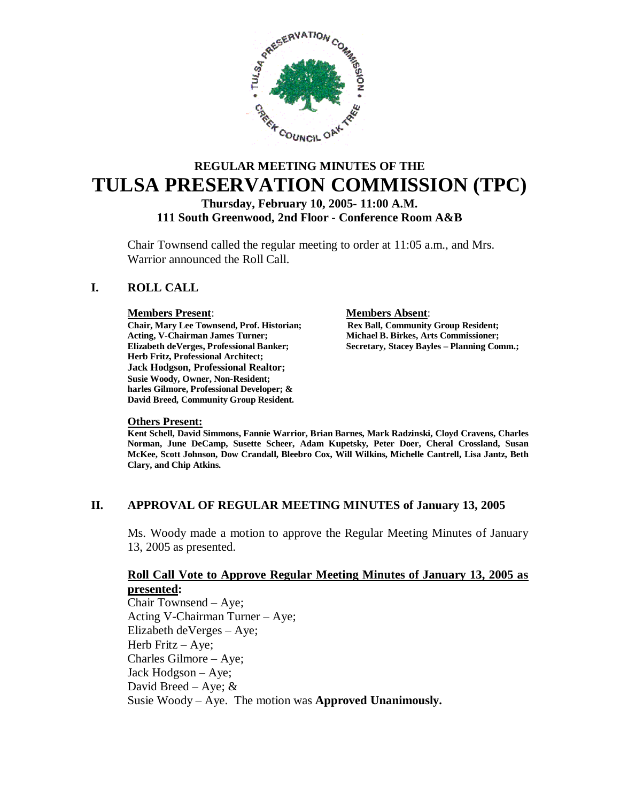

# **REGULAR MEETING MINUTES OF THE TULSA PRESERVATION COMMISSION (TPC)**

**Thursday, February 10, 2005- 11:00 A.M.**

**111 South Greenwood, 2nd Floor - Conference Room A&B**

Chair Townsend called the regular meeting to order at 11:05 a.m., and Mrs. Warrior announced the Roll Call.

# **I. ROLL CALL**

**Chair, Mary Lee Townsend, Prof. Historian;** Acting, V-Chairman James Turner; **Acting, V-Chairman James Turner; Michael B. Birkes, Arts Commissioner; Herb Fritz, Professional Architect; Jack Hodgson, Professional Realtor; Susie Woody, Owner, Non-Resident; harles Gilmore, Professional Developer; & David Breed, Community Group Resident.**

**Members Present:**<br> **Chair, Mary Lee Townsend, Prof. Historian;** Rex Ball, Community Group Resident; **Elizabeth deVerges, Professional Banker; Secretary, Stacey Bayles – Planning Comm.;**

#### **Others Present:**

**Kent Schell, David Simmons, Fannie Warrior, Brian Barnes, Mark Radzinski, Cloyd Cravens, Charles Norman, June DeCamp, Susette Scheer, Adam Kupetsky, Peter Doer, Cheral Crossland, Susan McKee, Scott Johnson, Dow Crandall, Bleebro Cox, Will Wilkins, Michelle Cantrell, Lisa Jantz, Beth Clary, and Chip Atkins.**

# **II. APPROVAL OF REGULAR MEETING MINUTES of January 13, 2005**

Ms. Woody made a motion to approve the Regular Meeting Minutes of January 13, 2005 as presented.

# **Roll Call Vote to Approve Regular Meeting Minutes of January 13, 2005 as presented:**

Chair Townsend – Aye; Acting V-Chairman Turner – Aye; Elizabeth deVerges – Aye; Herb Fritz – Aye; Charles Gilmore – Aye; Jack Hodgson –Aye; David Breed – Aye;  $&$ Susie Woody – Aye. The motion was **Approved Unanimously.**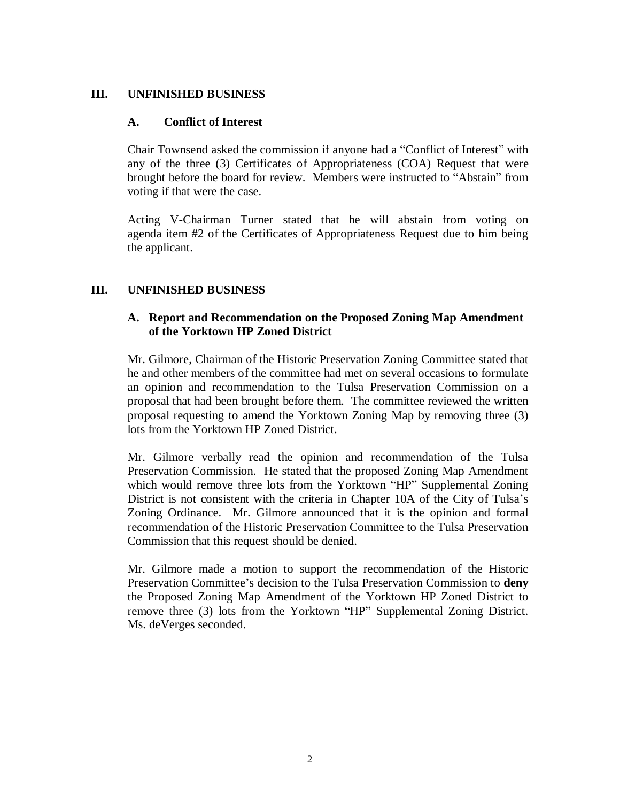# **III. UNFINISHED BUSINESS**

# **A. Conflict of Interest**

Chair Townsend asked the commission if anyone had a "Conflict of Interest" with any of the three (3) Certificates of Appropriateness (COA) Request that were brought before the board for review. Members were instructed to "Abstain" from voting if that were the case.

Acting V-Chairman Turner stated that he will abstain from voting on agenda item #2 of the Certificates of Appropriateness Request due to him being the applicant.

# **III. UNFINISHED BUSINESS**

# **A. Report and Recommendation on the Proposed Zoning Map Amendment of the Yorktown HP Zoned District**

Mr. Gilmore, Chairman of the Historic Preservation Zoning Committee stated that he and other members of the committee had met on several occasions to formulate an opinion and recommendation to the Tulsa Preservation Commission on a proposal that had been brought before them. The committee reviewed the written proposal requesting to amend the Yorktown Zoning Map by removing three (3) lots from the Yorktown HP Zoned District.

Mr. Gilmore verbally read the opinion and recommendation of the Tulsa Preservation Commission. He stated that the proposed Zoning Map Amendment which would remove three lots from the Yorktown "HP" Supplemental Zoning District is not consistent with the criteria in Chapter 10A of the City of Tulsa's Zoning Ordinance. Mr. Gilmore announced that it is the opinion and formal recommendation of the Historic Preservation Committee to the Tulsa Preservation Commission that this request should be denied.

Mr. Gilmore made a motion to support the recommendation of the Historic Preservation Committee's decision to the Tulsa Preservation Commission to **deny** the Proposed Zoning Map Amendment of the Yorktown HP Zoned District to remove three (3) lots from the Yorktown "HP" Supplemental Zoning District. Ms. deVerges seconded.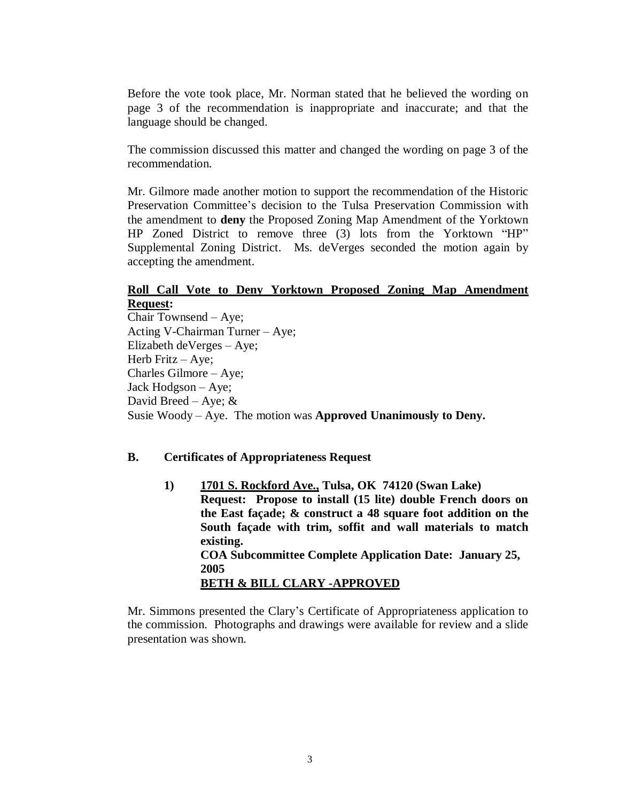Before the vote took place, Mr. Norman stated that he believed the wording on page 3 of the recommendation is inappropriate and inaccurate; and that the language should be changed.

The commission discussed this matter and changed the wording on page 3 of the recommendation.

Mr. Gilmore made another motion to support the recommendation of the Historic Preservation Committee's decision to the Tulsa Preservation Commission with the amendment to **deny** the Proposed Zoning Map Amendment of the Yorktown HP Zoned District to remove three (3) lots from the Yorktown "HP" Supplemental Zoning District. Ms. deVerges seconded the motion again by accepting the amendment.

# **Roll Call Vote to Deny Yorktown Proposed Zoning Map Amendment Request:**

Chair Townsend – Aye; Acting V-Chairman Turner – Aye; Elizabeth deVerges – Aye; Herb Fritz – Aye; Charles Gilmore – Aye; Jack Hodgson – Aye; David Breed – Aye;  $&$ Susie Woody – Aye. The motion was **Approved Unanimously to Deny.**

#### **B. Certificates of Appropriateness Request**

**1) 1701 S. Rockford Ave., Tulsa, OK 74120 (Swan Lake) Request: Propose to install (15 lite) double French doors on the East façade; & construct a 48 square foot addition on the South façade with trim, soffit and wall materials to match existing. COA Subcommittee Complete Application Date: January 25, 2005 BETH & BILL CLARY -APPROVED**

Mr. Simmons presented the Clary's Certificate of Appropriateness application to the commission. Photographs and drawings were available for review and a slide presentation was shown.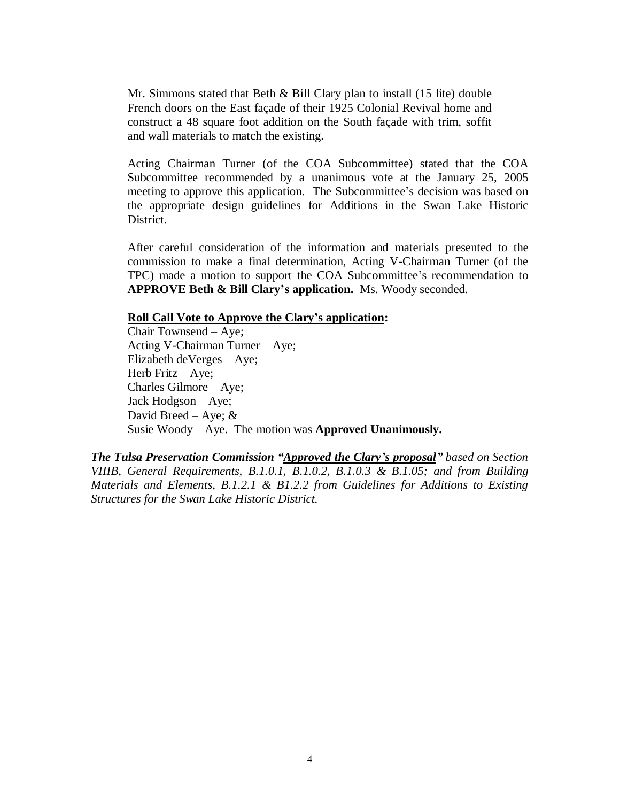Mr. Simmons stated that Beth & Bill Clary plan to install (15 lite) double French doors on the East façade of their 1925 Colonial Revival home and construct a 48 square foot addition on the South façade with trim, soffit and wall materials to match the existing.

Acting Chairman Turner (of the COA Subcommittee) stated that the COA Subcommittee recommended by a unanimous vote at the January 25, 2005 meeting to approve this application. The Subcommittee's decision was based on the appropriate design guidelines for Additions in the Swan Lake Historic **District** 

After careful consideration of the information and materials presented to the commission to make a final determination, Acting V-Chairman Turner (of the TPC) made a motion to support the COA Subcommittee's recommendation to **APPROVE Beth & Bill Clary's application.** Ms. Woody seconded.

# **Roll Call Vote to Approve the Clary's application:**

Chair Townsend – Aye; Acting V-Chairman Turner – Aye; Elizabeth deVerges – Aye; Herb Fritz – Aye; Charles Gilmore – Aye; Jack Hodgson – Aye; David Breed – Aye;  $\&$ Susie Woody – Aye. The motion was **Approved Unanimously.**

*The Tulsa Preservation Commission "Approved the Clary's proposal"based on Section VIIIB, General Requirements, B.1.0.1, B.1.0.2, B.1.0.3 & B.1.05; and from Building Materials and Elements, B.1.2.1 & B1.2.2 from Guidelines for Additions to Existing Structures for the Swan Lake Historic District.*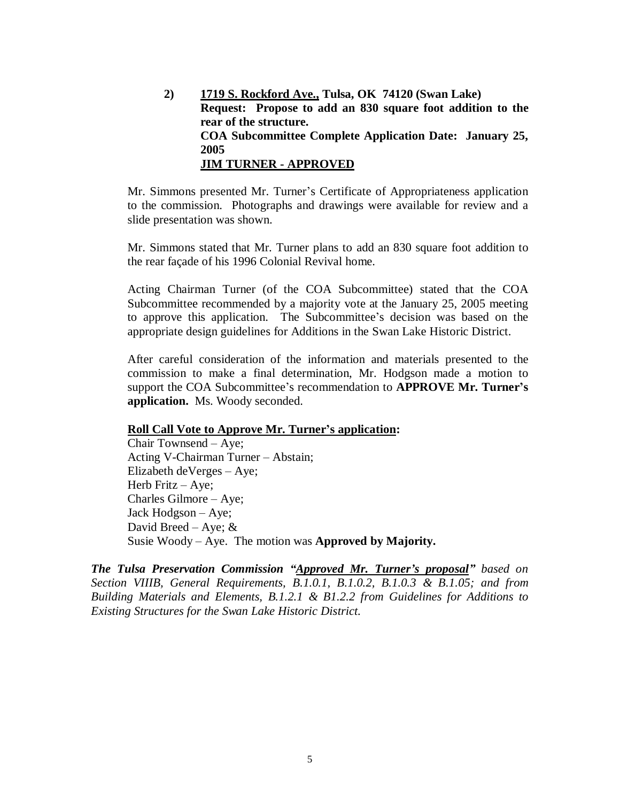**2) 1719 S. Rockford Ave., Tulsa, OK 74120 (Swan Lake) Request: Propose to add an 830 square foot addition to the rear of the structure. COA Subcommittee Complete Application Date: January 25, 2005 JIM TURNER - APPROVED**

Mr. Simmons presented Mr. Turner's Certificate of Appropriateness application to the commission. Photographs and drawings were available for review and a slide presentation was shown.

Mr. Simmons stated that Mr. Turner plans to add an 830 square foot addition to the rear façade of his 1996 Colonial Revival home.

Acting Chairman Turner (of the COA Subcommittee) stated that the COA Subcommittee recommended by a majority vote at the January 25, 2005 meeting to approve this application. The Subcommittee's decision was based on the appropriate design guidelines for Additions in the Swan Lake Historic District.

After careful consideration of the information and materials presented to the commission to make a final determination, Mr. Hodgson made a motion to support the COA Subcommittee's recommendation to **APPROVE Mr. Turner's application.** Ms. Woody seconded.

#### **Roll Call Vote to Approve Mr. Turner's application:**

Chair Townsend – Aye; Acting V-Chairman Turner – Abstain; Elizabeth deVerges – Aye; Herb Fritz – Aye; Charles Gilmore – Aye; Jack Hodgson – Aye; David Breed – Aye;  $&$ Susie Woody – Aye. The motion was **Approved by Majority.**

*The Tulsa Preservation Commission "Approved Mr. Turner's proposal"based on Section VIIIB, General Requirements, B.1.0.1, B.1.0.2, B.1.0.3 & B.1.05; and from Building Materials and Elements, B.1.2.1 & B1.2.2 from Guidelines for Additions to Existing Structures for the Swan Lake Historic District.*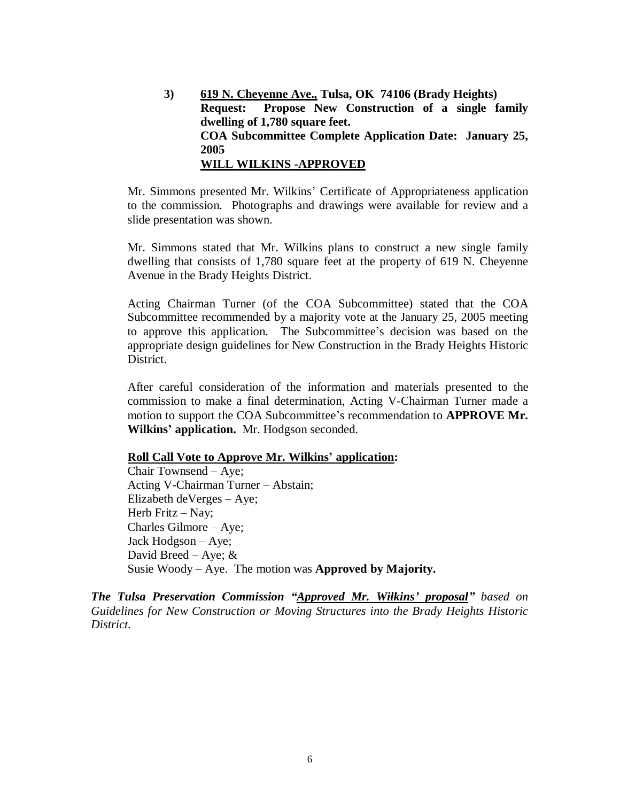**3) 619 N. Cheyenne Ave., Tulsa, OK 74106 (Brady Heights) Request: Propose New Construction of a single family dwelling of 1,780 square feet. COA Subcommittee Complete Application Date: January 25, 2005 WILL WILKINS -APPROVED**

Mr. Simmons presented Mr. Wilkins' Certificate of Appropriateness application to the commission. Photographs and drawings were available for review and a slide presentation was shown.

Mr. Simmons stated that Mr. Wilkins plans to construct a new single family dwelling that consists of 1,780 square feet at the property of 619 N. Cheyenne Avenue in the Brady Heights District.

Acting Chairman Turner (of the COA Subcommittee) stated that the COA Subcommittee recommended by a majority vote at the January 25, 2005 meeting to approve this application. The Subcommittee's decision was based on the appropriate design guidelines for New Construction in the Brady Heights Historic District.

After careful consideration of the information and materials presented to the commission to make a final determination, Acting V-Chairman Turner made a motion to support the COA Subcommittee's recommendation to **APPROVE Mr. Wilkins'application.** Mr. Hodgson seconded.

#### **Roll Call Vote to Approve Mr. Wilkins' application:**

Chair Townsend – Aye; Acting V-Chairman Turner – Abstain; Elizabeth deVerges – Aye; Herb Fritz  $-$  Nay; Charles Gilmore – Aye; Jack Hodgson – Aye; David Breed – Aye;  $\&$ Susie Woody – Aye. The motion was **Approved by Majority.**

*The Tulsa Preservation Commission "Approved Mr. Wilkins' proposal"based on Guidelines for New Construction or Moving Structures into the Brady Heights Historic District.*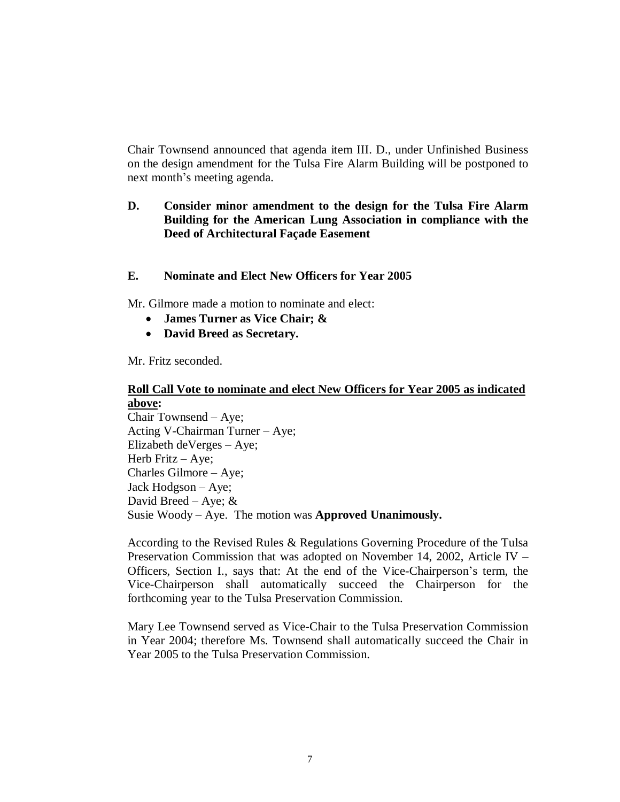Chair Townsend announced that agenda item III. D., under Unfinished Business on the design amendment for the Tulsa Fire Alarm Building will be postponed to next month's meeting agenda.

# **D. Consider minor amendment to the design for the Tulsa Fire Alarm Building for the American Lung Association in compliance with the Deed of Architectural Façade Easement**

# **E. Nominate and Elect New Officers for Year 2005**

Mr. Gilmore made a motion to nominate and elect:

- **James Turner as Vice Chair; &**
- **David Breed as Secretary.**

Mr. Fritz seconded.

# **Roll Call Vote to nominate and elect New Officers for Year 2005 as indicated above:**

Chair Townsend – Aye; Acting V-Chairman Turner – Aye; Elizabeth deVerges – Aye; Herb Fritz – Aye; Charles Gilmore – Aye; Jack Hodgson – Aye; David Breed – Aye;  $\&$ Susie Woody – Aye. The motion was **Approved Unanimously.**

According to the Revised Rules & Regulations Governing Procedure of the Tulsa Preservation Commission that was adopted on November 14, 2002, Article IV – Officers, Section I., says that: At the end of the Vice-Chairperson's term, the Vice-Chairperson shall automatically succeed the Chairperson for the forthcoming year to the Tulsa Preservation Commission.

Mary Lee Townsend served as Vice-Chair to the Tulsa Preservation Commission in Year 2004; therefore Ms. Townsend shall automatically succeed the Chair in Year 2005 to the Tulsa Preservation Commission.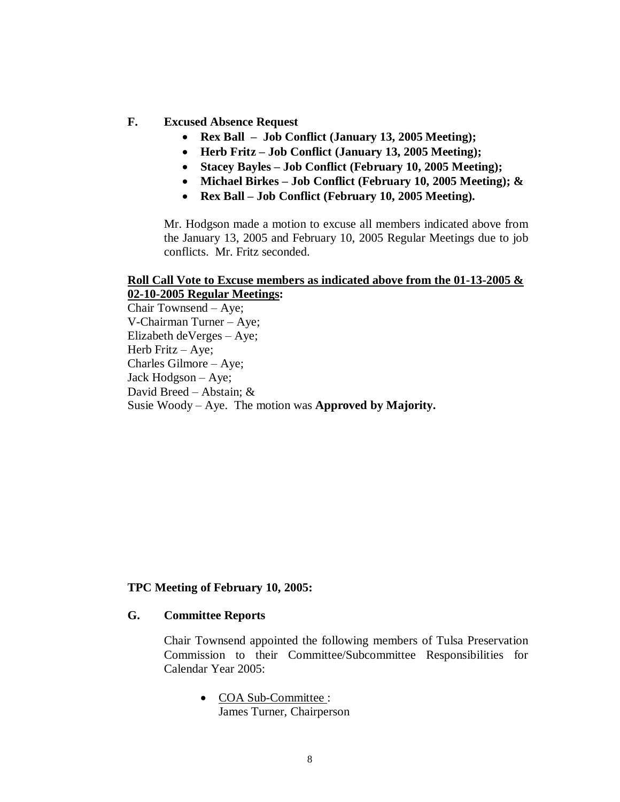#### **F. Excused Absence Request**

- **Rex Ball – Job Conflict (January 13, 2005 Meeting);**
- **Herb Fritz – Job Conflict (January 13, 2005 Meeting);**
- **Stacey Bayles – Job Conflict (February 10, 2005 Meeting);**
- **Michael Birkes – Job Conflict (February 10, 2005 Meeting); &**
- **Rex Ball – Job Conflict (February 10, 2005 Meeting).**

Mr. Hodgson made a motion to excuse all members indicated above from the January 13, 2005 and February 10, 2005 Regular Meetings due to job conflicts. Mr. Fritz seconded.

#### **Roll Call Vote to Excuse members as indicated above from the 01-13-2005 & 02-10-2005 Regular Meetings:**

Chair Townsend – Aye; V-Chairman Turner – Aye; Elizabeth deVerges – Aye; Herb Fritz – Aye; Charles Gilmore – Aye; Jack Hodgson – Aye; David Breed – Abstain; & Susie Woody – Aye. The motion was **Approved by Majority.**

### **TPC Meeting of February 10, 2005:**

### **G. Committee Reports**

Chair Townsend appointed the following members of Tulsa Preservation Commission to their Committee/Subcommittee Responsibilities for Calendar Year 2005:

> • COA Sub-Committee : James Turner, Chairperson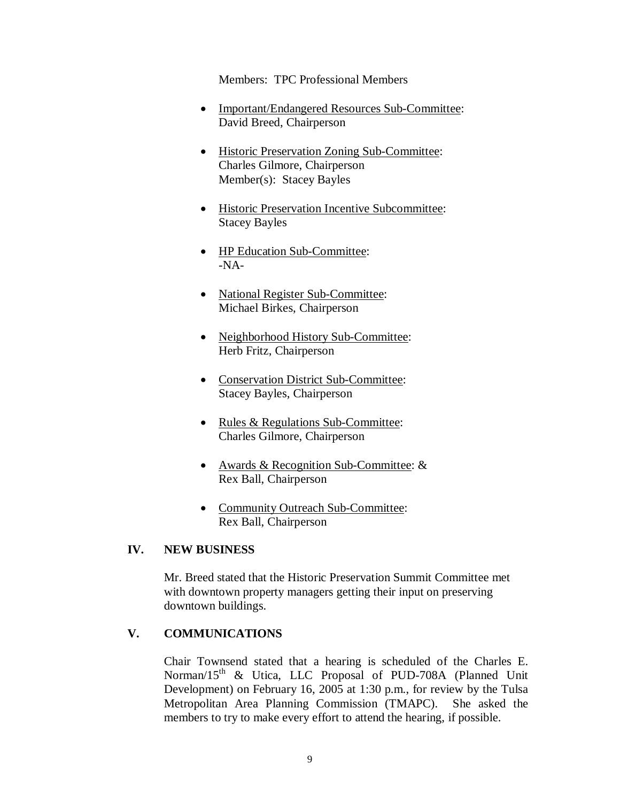Members: TPC Professional Members

- Important/Endangered Resources Sub-Committee: David Breed, Chairperson
- Historic Preservation Zoning Sub-Committee: Charles Gilmore, Chairperson Member(s): Stacey Bayles
- Historic Preservation Incentive Subcommittee: Stacey Bayles
- HP Education Sub-Committee: -NA-
- National Register Sub-Committee: Michael Birkes, Chairperson
- Neighborhood History Sub-Committee: Herb Fritz, Chairperson
- Conservation District Sub-Committee: Stacey Bayles, Chairperson
- Rules & Regulations Sub-Committee: Charles Gilmore, Chairperson
- Awards & Recognition Sub-Committee: & Rex Ball, Chairperson
- Community Outreach Sub-Committee: Rex Ball, Chairperson

# **IV. NEW BUSINESS**

Mr. Breed stated that the Historic Preservation Summit Committee met with downtown property managers getting their input on preserving downtown buildings.

# **V. COMMUNICATIONS**

Chair Townsend stated that a hearing is scheduled of the Charles E. Norman/15<sup>th</sup> & Utica, LLC Proposal of PUD-708A (Planned Unit Development) on February 16, 2005 at 1:30 p.m., for review by the Tulsa Metropolitan Area Planning Commission (TMAPC). She asked the members to try to make every effort to attend the hearing, if possible.